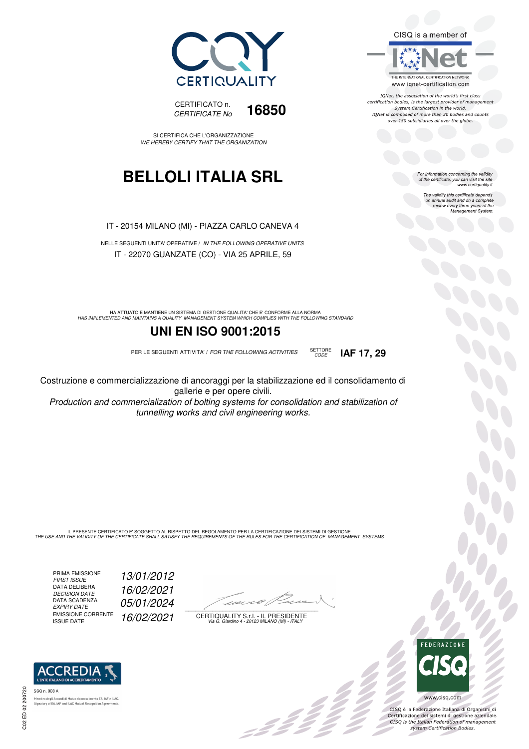CISQ is a member of



IONet, the association of the world's first class certification bodies, is the largest provider of management System Certification in the world. IQNet is composed of more than 30 bodies and counts over 150 subsidiaries all over the globe.

CODE **IAF 17, 29**

For information concerning the validity<br>of the certificate, you can visit the site<br>www.certiquality.it

The validity this certificate depends on annual audit and on a complete review every three years of the Management System.



CERTIFICATO n. CERTIFICATE No **16850** 

SI CERTIFICA CHE L'ORGANIZZAZIONE WE HEREBY CERTIFY THAT THE ORGANIZATION

### **BELLOLI ITALIA SRL**

IT - 20154 MILANO (MI) - PIAZZA CARLO CANEVA 4

NELLE SEGUENTI UNITA' OPERATIVE / IN THE FOLLOWING OPERATIVE UNITS IT - 22070 GUANZATE (CO) - VIA 25 APRILE, 59

HA ATTUATO E MANTIENE UN SISTEMA DI GESTIONE QUALITA' CHE E' CONFORME ALLA NORMA<br>HAS IMPLEMENTED AND MAINTAINS A QUALITY MANAGEMENT SYSTEM WHICH COMPLIES WITH THE FOLLOWING STANDARD

### **UNI EN ISO 9001:2015**

PER LE SEGUENTI ATTIVITA' / FOR THE FOLLOWING ACTIVITIES SETTORE

Costruzione e commercializzazione di ancoraggi per la stabilizzazione ed il consolidamento di gallerie e per opere civili.

Production and commercialization of bolting systems for consolidation and stabilization of tunnelling works and civil engineering works.

IL PRESENTE CERTIFICATO E' SOGGETTO AL RISPETTO DEL REGOLAMENTO PER LA CERTIFICAZIONE DEI SISTEMI DI GESTIONE<br>THE USE AND THE VALIDITY OF THE CERTIFICATE SHALL SATISFY THE REQUIREMENTS OF THE RULES FOR THE CERTIFICATION OF

PRIMA EMISSIONE FIRST ISSUE 13/01/2012 DATA DELIBERA DECISION DATE<br>DATA SCADENZA<br>EXPIRY DATE EMISSIONE CORRENTE<br>ISSUE DATE

16/02/2021 05/01/2024 16/02/2021

 $\overline{\phantom{a}}$ 

:422

CERTIQUALITY S.r.l. - IL PRESIDENTE Via G. Giardino 4 - 20123 MILANO (MI) - ITALY



 $\frac{1}{2}$ 

CISQ è la Federazione Italiana di Organismi di Certificazione dei sistemi di gestione aziendale.<br>CISQ is the Italian Federation of management system Certification Bodies.



tory of EA, IAF and ILAC Mutual Recognit